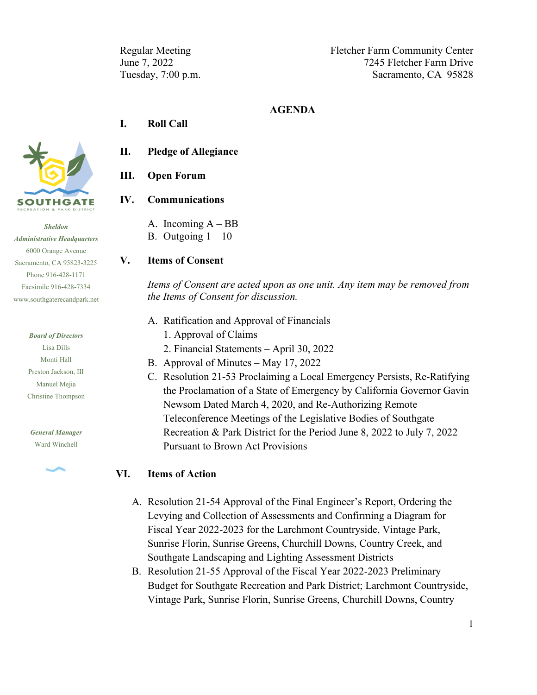Regular Meeting Fletcher Farm Community Center June 7, 2022 7245 Fletcher Farm Drive Tuesday, 7:00 p.m. Sacramento, CA 95828

#### **AGENDA**

### **I. Roll Call**



### **III. Open Forum**

### **IV. Communications**

A. Incoming A – BB B. Outgoing  $1 - 10$ 

#### **V. Items of Consent**

*Items of Consent are acted upon as one unit. Any item may be removed from the Items of Consent for discussion.*

- A. Ratification and Approval of Financials
	- 1. Approval of Claims
	- 2. Financial Statements April 30, 2022
- B. Approval of Minutes May 17, 2022
- C. Resolution 21-53 Proclaiming a Local Emergency Persists, Re-Ratifying the Proclamation of a State of Emergency by California Governor Gavin Newsom Dated March 4, 2020, and Re-Authorizing Remote Teleconference Meetings of the Legislative Bodies of Southgate Recreation & Park District for the Period June 8, 2022 to July 7, 2022 Pursuant to Brown Act Provisions

### **VI. Items of Action**

- A. Resolution 21-54 Approval of the Final Engineer's Report, Ordering the Levying and Collection of Assessments and Confirming a Diagram for Fiscal Year 2022-2023 for the Larchmont Countryside, Vintage Park, Sunrise Florin, Sunrise Greens, Churchill Downs, Country Creek, and Southgate Landscaping and Lighting Assessment Districts
- B. Resolution 21-55 Approval of the Fiscal Year 2022-2023 Preliminary Budget for Southgate Recreation and Park District; Larchmont Countryside, Vintage Park, Sunrise Florin, Sunrise Greens, Churchill Downs, Country



*Sheldon Administrative Headquarters* 6000 Orange Avenue Sacramento, CA 95823-3225 Phone 916-428-1171 Facsimile 916-428-7334 [www.southgaterecandpark.net](http://www.southgaterecandpark.net/)

> *Board of Directors* Lisa Dills Monti Hall Preston Jackson, III

Manuel Mejia Christine Thompson

*General Manager* Ward Winchell

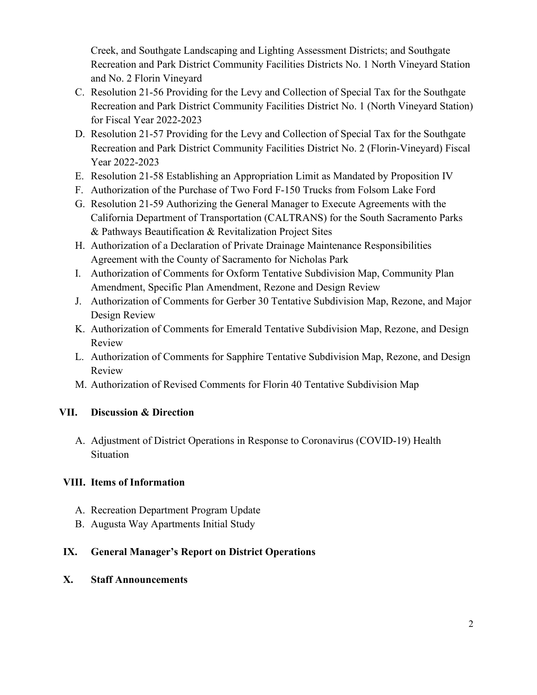Creek, and Southgate Landscaping and Lighting Assessment Districts; and Southgate Recreation and Park District Community Facilities Districts No. 1 North Vineyard Station and No. 2 Florin Vineyard

- C. Resolution 21-56 Providing for the Levy and Collection of Special Tax for the Southgate Recreation and Park District Community Facilities District No. 1 (North Vineyard Station) for Fiscal Year 2022-2023
- D. Resolution 21-57 Providing for the Levy and Collection of Special Tax for the Southgate Recreation and Park District Community Facilities District No. 2 (Florin-Vineyard) Fiscal Year 2022-2023
- E. Resolution 21-58 Establishing an Appropriation Limit as Mandated by Proposition IV
- F. Authorization of the Purchase of Two Ford F-150 Trucks from Folsom Lake Ford
- G. Resolution 21-59 Authorizing the General Manager to Execute Agreements with the California Department of Transportation (CALTRANS) for the South Sacramento Parks & Pathways Beautification & Revitalization Project Sites
- H. Authorization of a Declaration of Private Drainage Maintenance Responsibilities Agreement with the County of Sacramento for Nicholas Park
- I. Authorization of Comments for Oxform Tentative Subdivision Map, Community Plan Amendment, Specific Plan Amendment, Rezone and Design Review
- J. Authorization of Comments for Gerber 30 Tentative Subdivision Map, Rezone, and Major Design Review
- K. Authorization of Comments for Emerald Tentative Subdivision Map, Rezone, and Design Review
- L. Authorization of Comments for Sapphire Tentative Subdivision Map, Rezone, and Design Review
- M. Authorization of Revised Comments for Florin 40 Tentative Subdivision Map

# **VII. Discussion & Direction**

A. Adjustment of District Operations in Response to Coronavirus (COVID-19) Health Situation

# **VIII. Items of Information**

- A. Recreation Department Program Update
- B. Augusta Way Apartments Initial Study

# **IX. General Manager's Report on District Operations**

**X. Staff Announcements**